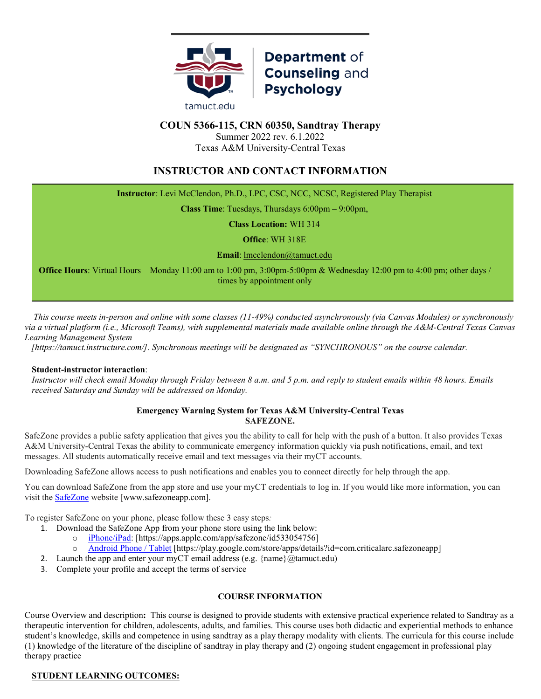

# Department of **Counseling and Psychology**

# **COUN 5366-115, CRN 60350, Sandtray Therapy**

Summer 2022 rev. 6.1.2022 Texas A&M University-Central Texas

# **INSTRUCTOR AND CONTACT INFORMATION**

**Instructor**: Levi McClendon, Ph.D., LPC, CSC, NCC, NCSC, Registered Play Therapist

**Class Time**: Tuesdays, Thursdays 6:00pm – 9:00pm,

**Class Location:** WH 314

**Office**: WH 318E

**Email**: [lmcclendon@tamuct.edu](mailto:lmcclendon@tamuct.edu)

**Office Hours**: Virtual Hours – Monday 11:00 am to 1:00 pm, 3:00pm-5:00pm & Wednesday 12:00 pm to 4:00 pm; other days / times by appointment only

 *This course meets in-person and online with some classes (11-49%) conducted asynchronously (via Canvas Modules) or synchronously via a virtual platform (i.e., Microsoft Teams), with supplemental materials made available online through the A&M-Central Texas Canvas Learning Management System* 

 *[https://tamuct.instructure.com/]. Synchronous meetings will be designated as "SYNCHRONOUS" on the course calendar.*

#### **Student-instructor interaction**:

*Instructor will check email Monday through Friday between 8 a.m. and 5 p.m. and reply to student emails within 48 hours. Emails received Saturday and Sunday will be addressed on Monday.*

#### **Emergency Warning System for Texas A&M University-Central Texas SAFEZONE.**

SafeZone provides a public safety application that gives you the ability to call for help with the push of a button. It also provides Texas A&M University-Central Texas the ability to communicate emergency information quickly via push notifications, email, and text messages. All students automatically receive email and text messages via their myCT accounts.

Downloading SafeZone allows access to push notifications and enables you to connect directly for help through the app.

You can download SafeZone from the app store and use your myCT credentials to log in. If you would like more information, you can visit the [SafeZone](http://www.safezoneapp.com/) website [www.safezoneapp.com].

To register SafeZone on your phone, please follow these 3 easy steps*:*

- 1. Download the SafeZone App from your phone store using the link below:
	- o [iPhone/iPad:](https://apps.apple.com/app/safezone/id533054756) [https://apps.apple.com/app/safezone/id533054756]
	- o [Android Phone / Tablet](https://play.google.com/store/apps/details?id=com.criticalarc.safezoneapp) [https://play.google.com/store/apps/details?id=com.criticalarc.safezoneapp]
- 2. Launch the app and enter your myCT email address (e.g.  ${\{name\}}$ @tamuct.edu)
- 3. Complete your profile and accept the terms of service

#### **COURSE INFORMATION**

Course Overview and description**:** This course is designed to provide students with extensive practical experience related to Sandtray as a therapeutic intervention for children, adolescents, adults, and families. This course uses both didactic and experiential methods to enhance student's knowledge, skills and competence in using sandtray as a play therapy modality with clients. The curricula for this course include (1) knowledge of the literature of the discipline of sandtray in play therapy and (2) ongoing student engagement in professional play therapy practice

#### **STUDENT LEARNING OUTCOMES:**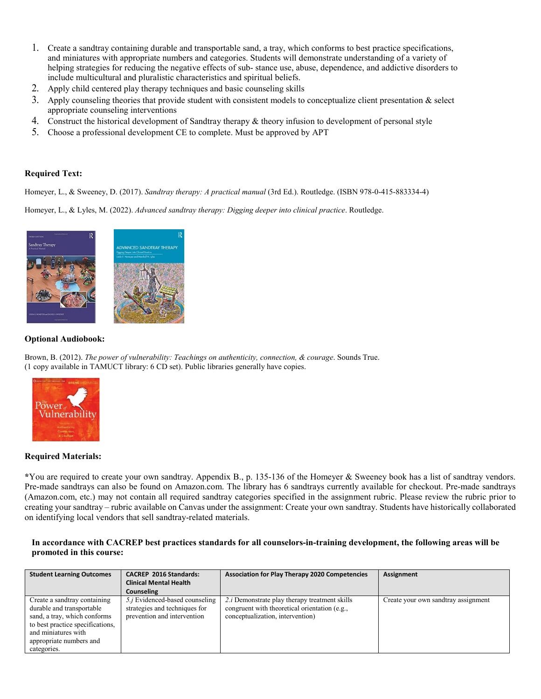- 1. Create a sandtray containing durable and transportable sand, a tray, which conforms to best practice specifications, and miniatures with appropriate numbers and categories. Students will demonstrate understanding of a variety of helping strategies for reducing the negative effects of sub- stance use, abuse, dependence, and addictive disorders to include multicultural and pluralistic characteristics and spiritual beliefs.
- 2. Apply child centered play therapy techniques and basic counseling skills
- 3. Apply counseling theories that provide student with consistent models to conceptualize client presentation  $\&$  select appropriate counseling interventions
- 4. Construct the historical development of Sandtray therapy & theory infusion to development of personal style
- 5. Choose a professional development CE to complete. Must be approved by APT

#### **Required Text:**

Homeyer, L., & Sweeney, D. (2017). *Sandtray therapy: A practical manual* (3rd Ed.). Routledge. (ISBN 978-0-415-883334-4)

Homeyer, L., & Lyles, M. (2022). *Advanced sandtray therapy: Digging deeper into clinical practice*. Routledge.



#### **Optional Audiobook:**

Brown, B. (2012). *The power of vulnerability: Teachings on authenticity, connection, & courage*. Sounds True. (1 copy available in TAMUCT library: 6 CD set). Public libraries generally have copies.



#### **Required Materials:**

**\***You are required to create your own sandtray. Appendix B., p. 135-136 of the Homeyer & Sweeney book has a list of sandtray vendors. Pre-made sandtrays can also be found on Amazon.com. The library has 6 sandtrays currently available for checkout. Pre-made sandtrays (Amazon.com, etc.) may not contain all required sandtray categories specified in the assignment rubric. Please review the rubric prior to creating your sandtray – rubric available on Canvas under the assignment: Create your own sandtray. Students have historically collaborated on identifying local vendors that sell sandtray-related materials.

#### **In accordance with CACREP best practices standards for all counselors-in-training development, the following areas will be promoted in this course:**

| <b>Student Learning Outcomes</b>                                                                                                                                                | <b>CACREP 2016 Standards:</b>                                                                          | <b>Association for Play Therapy 2020 Competencies</b>                                                                                      | Assignment                          |
|---------------------------------------------------------------------------------------------------------------------------------------------------------------------------------|--------------------------------------------------------------------------------------------------------|--------------------------------------------------------------------------------------------------------------------------------------------|-------------------------------------|
|                                                                                                                                                                                 | <b>Clinical Mental Health</b>                                                                          |                                                                                                                                            |                                     |
|                                                                                                                                                                                 | Counseling                                                                                             |                                                                                                                                            |                                     |
| Create a sandtray containing<br>durable and transportable<br>sand, a tray, which conforms<br>to best practice specifications,<br>and miniatures with<br>appropriate numbers and | 5. <i>j</i> Evidenced-based counseling<br>strategies and techniques for<br>prevention and intervention | 2. <i>i</i> Demonstrate play therapy treatment skills<br>congruent with theoretical orientation (e.g.,<br>conceptualization, intervention) | Create your own sandtray assignment |
| categories.                                                                                                                                                                     |                                                                                                        |                                                                                                                                            |                                     |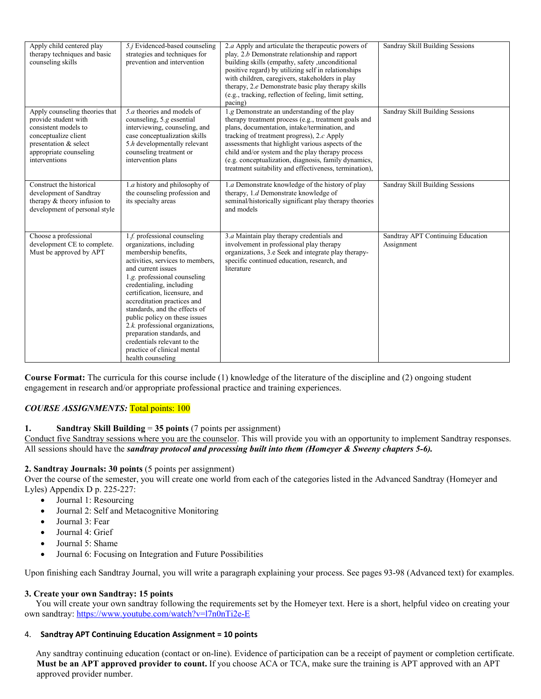| Apply child centered play<br>therapy techniques and basic<br>counseling skills                                                                                             | 5. <i>j</i> Evidenced-based counseling<br>strategies and techniques for<br>prevention and intervention                                                                                                                                                                                                                                                                                                                                                                                        | 2.a Apply and articulate the therapeutic powers of<br>play, 2.b Demonstrate relationship and rapport<br>building skills (empathy, safety, unconditional<br>positive regard) by utilizing self in relationships<br>with children, caregivers, stakeholders in play<br>therapy, 2.e Demonstrate basic play therapy skills<br>(e.g., tracking, reflection of feeling, limit setting,<br>pacing)                                   | Sandray Skill Building Sessions                 |
|----------------------------------------------------------------------------------------------------------------------------------------------------------------------------|-----------------------------------------------------------------------------------------------------------------------------------------------------------------------------------------------------------------------------------------------------------------------------------------------------------------------------------------------------------------------------------------------------------------------------------------------------------------------------------------------|--------------------------------------------------------------------------------------------------------------------------------------------------------------------------------------------------------------------------------------------------------------------------------------------------------------------------------------------------------------------------------------------------------------------------------|-------------------------------------------------|
| Apply counseling theories that<br>provide student with<br>consistent models to<br>conceptualize client<br>presentation & select<br>appropriate counseling<br>interventions | 5. <i>a</i> theories and models of<br>counseling, 5.g essential<br>interviewing, counseling, and<br>case conceptualization skills<br>5.h developmentally relevant<br>counseling treatment or<br>intervention plans                                                                                                                                                                                                                                                                            | 1.g Demonstrate an understanding of the play<br>therapy treatment process (e.g., treatment goals and<br>plans, documentation, intake/termination, and<br>tracking of treatment progress), 2.c Apply<br>assessments that highlight various aspects of the<br>child and/or system and the play therapy process<br>(e.g. conceptualization, diagnosis, family dynamics,<br>treatment suitability and effectiveness, termination), | Sandray Skill Building Sessions                 |
| Construct the historical<br>development of Sandtray<br>therapy & theory infusion to<br>development of personal style                                                       | 1.a history and philosophy of<br>the counseling profession and<br>its specialty areas                                                                                                                                                                                                                                                                                                                                                                                                         | 1.a Demonstrate knowledge of the history of play<br>therapy, 1.d Demonstrate knowledge of<br>seminal/historically significant play therapy theories<br>and models                                                                                                                                                                                                                                                              | Sandray Skill Building Sessions                 |
| Choose a professional<br>development CE to complete.<br>Must be approved by APT                                                                                            | 1.f. professional counseling<br>organizations, including<br>membership benefits,<br>activities, services to members.<br>and current issues<br>1.g. professional counseling<br>credentialing, including<br>certification, licensure, and<br>accreditation practices and<br>standards, and the effects of<br>public policy on these issues<br>2.k. professional organizations,<br>preparation standards, and<br>credentials relevant to the<br>practice of clinical mental<br>health counseling | 3.a Maintain play therapy credentials and<br>involvement in professional play therapy<br>organizations, 3.e Seek and integrate play therapy-<br>specific continued education, research, and<br>literature                                                                                                                                                                                                                      | Sandtray APT Continuing Education<br>Assignment |

**Course Format:** The curricula for this course include (1) knowledge of the literature of the discipline and (2) ongoing student engagement in research and/or appropriate professional practice and training experiences.

## *COURSE ASSIGNMENTS:* Total points: 100

#### **1. Sandtray Skill Building** = **35 points** (7 points per assignment)

Conduct five Sandtray sessions where you are the counselor. This will provide you with an opportunity to implement Sandtray responses. All sessions should have the *sandtray protocol and processing built into them (Homeyer & Sweeny chapters 5-6).* 

### **2. Sandtray Journals: 30 points** (5 points per assignment)

Over the course of the semester, you will create one world from each of the categories listed in the Advanced Sandtray (Homeyer and Lyles) Appendix D p. 225-227:

- Journal 1: Resourcing
- Journal 2: Self and Metacognitive Monitoring
- Journal 3: Fear
- Journal 4: Grief
- Journal 5: Shame
- Journal 6: Focusing on Integration and Future Possibilities

Upon finishing each Sandtray Journal, you will write a paragraph explaining your process. See pages 93-98 (Advanced text) for examples.

#### **3. Create your own Sandtray: 15 points**

 You will create your own sandtray following the requirements set by the Homeyer text. Here is a short, helpful video on creating your own sandtray:<https://www.youtube.com/watch?v=l7n0nTi2e-E>

#### 4. **Sandtray APT Continuing Education Assignment = 10 points**

Any sandtray continuing education (contact or on-line). Evidence of participation can be a receipt of payment or completion certificate. **Must be an APT approved provider to count.** If you choose ACA or TCA, make sure the training is APT approved with an APT approved provider number.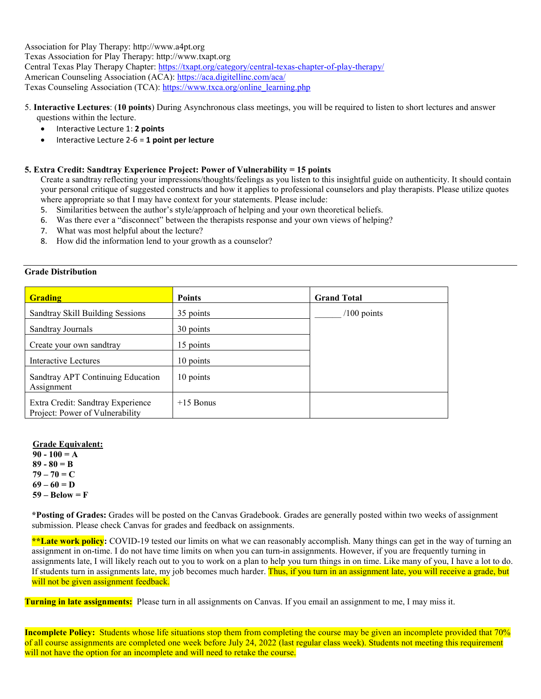Association for Play Therapy: http://www.a4pt.org Texas Association for Play Therapy: http://www.txapt.org

Central Texas Play Therapy Chapter:<https://txapt.org/category/central-texas-chapter-of-play-therapy/>

American Counseling Association (ACA)[: https://aca.digitellinc.com/aca/](https://aca.digitellinc.com/aca/)

Texas Counseling Association (TCA): [https://www.txca.org/online\\_learning.php](https://www.txca.org/online_learning.php)

- 5. **Interactive Lectures**: (**10 points**) During Asynchronous class meetings, you will be required to listen to short lectures and answer questions within the lecture.
	- Interactive Lecture 1: **2 points**
	- Interactive Lecture 2-6 = **1 point per lecture**

## **5. Extra Credit: Sandtray Experience Project: Power of Vulnerability = 15 points**

Create a sandtray reflecting your impressions/thoughts/feelings as you listen to this insightful guide on authenticity. It should contain your personal critique of suggested constructs and how it applies to professional counselors and play therapists. Please utilize quotes where appropriate so that I may have context for your statements. Please include:

- 5. Similarities between the author's style/approach of helping and your own theoretical beliefs.
- 6. Was there ever a "disconnect" between the therapists response and your own views of helping?
- 7. What was most helpful about the lecture?
- 8. How did the information lend to your growth as a counselor?

## **Grade Distribution**

| <b>Grading</b>                                                       | <b>Points</b> | <b>Grand Total</b> |
|----------------------------------------------------------------------|---------------|--------------------|
| Sandtray Skill Building Sessions                                     | 35 points     | $/100$ points      |
| Sandtray Journals                                                    | 30 points     |                    |
| Create your own sandtray                                             | 15 points     |                    |
| Interactive Lectures                                                 | 10 points     |                    |
| Sandtray APT Continuing Education<br>Assignment                      | 10 points     |                    |
| Extra Credit: Sandtray Experience<br>Project: Power of Vulnerability | $+15$ Bonus   |                    |

#### **Grade Equivalent:**

**90 - 100 = A 89 - 80 = B**  $79 - 70 = C$  $69 - 60 = D$ **59 – Below = F** 

**\*Posting of Grades:** Grades will be posted on the Canvas Gradebook. Grades are generally posted within two weeks of assignment submission. Please check Canvas for grades and feedback on assignments.

**\*\*Late work policy:** COVID-19 tested our limits on what we can reasonably accomplish. Many things can get in the way of turning an assignment in on-time. I do not have time limits on when you can turn-in assignments. However, if you are frequently turning in assignments late, I will likely reach out to you to work on a plan to help you turn things in on time. Like many of you, I have a lot to do. If students turn in assignments late, my job becomes much harder. Thus, if you turn in an assignment late, you will receive a grade, but will not be given assignment feedback.

**Turning in late assignments:** Please turn in all assignments on Canvas. If you email an assignment to me, I may miss it.

**Incomplete Policy:** Students whose life situations stop them from completing the course may be given an incomplete provided that 70% of all course assignments are completed one week before July 24, 2022 (last regular class week). Students not meeting this requirement will not have the option for an incomplete and will need to retake the course.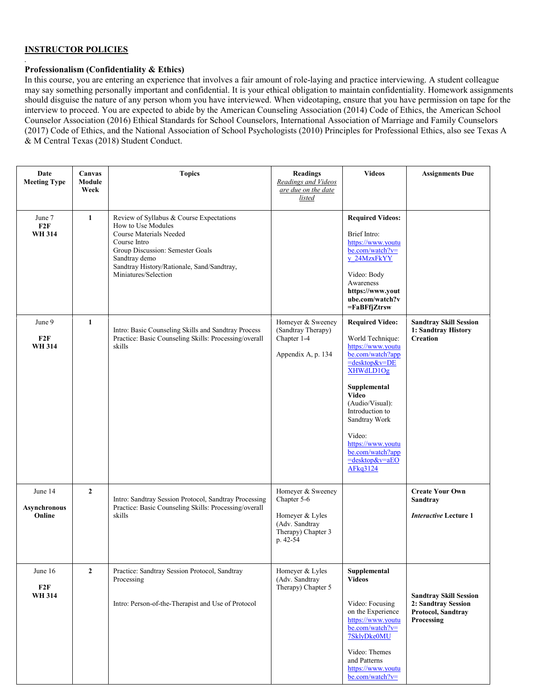### **INSTRUCTOR POLICIES**

*.* 

#### **Professionalism (Confidentiality & Ethics)**

In this course, you are entering an experience that involves a fair amount of role-laying and practice interviewing. A student colleague may say something personally important and confidential. It is your ethical obligation to maintain confidentiality. Homework assignments should disguise the nature of any person whom you have interviewed. When videotaping, ensure that you have permission on tape for the interview to proceed. You are expected to abide by the American Counseling Association (2014) Code of Ethics, the American School Counselor Association (2016) Ethical Standards for School Counselors, International Association of Marriage and Family Counselors (2017) Code of Ethics, and the National Association of School Psychologists (2010) Principles for Professional Ethics, also see Texas A & M Central Texas (2018) Student Conduct.

| Date<br><b>Meeting Type</b>       | Canvas<br>Module<br>Week | <b>Topics</b>                                                                                                                                                                                                                        | <b>Readings</b><br>Readings and Videos<br>are due on the date<br>listed                                 | <b>Videos</b>                                                                                                                                                                                                                                                                             | <b>Assignments Due</b>                                                                   |
|-----------------------------------|--------------------------|--------------------------------------------------------------------------------------------------------------------------------------------------------------------------------------------------------------------------------------|---------------------------------------------------------------------------------------------------------|-------------------------------------------------------------------------------------------------------------------------------------------------------------------------------------------------------------------------------------------------------------------------------------------|------------------------------------------------------------------------------------------|
| June 7<br>F2F<br><b>WH 314</b>    | 1                        | Review of Syllabus & Course Expectations<br>How to Use Modules<br>Course Materials Needed<br>Course Intro<br>Group Discussion: Semester Goals<br>Sandtray demo<br>Sandtray History/Rationale, Sand/Sandtray,<br>Miniatures/Selection |                                                                                                         | <b>Required Videos:</b><br>Brief Intro:<br>https://www.youtu<br>be.com/watch?v=<br>y 24MzxFkYY<br>Video: Body<br>Awareness<br>https://www.yout<br>ube.com/watch?v<br>=FaBFfjZtrsw                                                                                                         |                                                                                          |
| June 9<br>F2F<br><b>WH 314</b>    | $\mathbf{1}$             | Intro: Basic Counseling Skills and Sandtray Process<br>Practice: Basic Counseling Skills: Processing/overall<br>skills                                                                                                               | Homeyer & Sweeney<br>(Sandtray Therapy)<br>Chapter 1-4<br>Appendix A, p. 134                            | <b>Required Video:</b><br>World Technique:<br>https://www.youtu<br>be.com/watch?app<br>=desktop&v=DE<br>XHWdLD1Og<br>Supplemental<br><b>Video</b><br>(Audio/Visual):<br>Introduction to<br>Sandtray Work<br>Video:<br>https://www.youtu<br>be.com/watch?app<br>=desktop&v=aEO<br>AFkq3124 | <b>Sandtray Skill Session</b><br>1: Sandtray History<br><b>Creation</b>                  |
| June 14<br>Asynchronous<br>Online | $\overline{2}$           | Intro: Sandtray Session Protocol, Sandtray Processing<br>Practice: Basic Counseling Skills: Processing/overall<br>skills                                                                                                             | Homeyer & Sweeney<br>Chapter 5-6<br>Homeyer & Lyles<br>(Adv. Sandtray<br>Therapy) Chapter 3<br>p. 42-54 |                                                                                                                                                                                                                                                                                           | <b>Create Your Own</b><br>Sandtray<br><b>Interactive Lecture 1</b>                       |
| June 16<br>F2F<br><b>WH 314</b>   | $\overline{2}$           | Practice: Sandtray Session Protocol, Sandtray<br>Processing<br>Intro: Person-of-the-Therapist and Use of Protocol                                                                                                                    | Homeyer & Lyles<br>(Adv. Sandtray<br>Therapy) Chapter 5                                                 | Supplemental<br><b>Videos</b><br>Video: Focusing<br>on the Experience<br>https://www.youtu<br>be.com/watch?v=<br>7SklyDke0MU<br>Video: Themes<br>and Patterns<br>https://www.youtu<br>be.com/watch?v=                                                                                     | <b>Sandtray Skill Session</b><br>2: Sandtray Session<br>Protocol, Sandtray<br>Processing |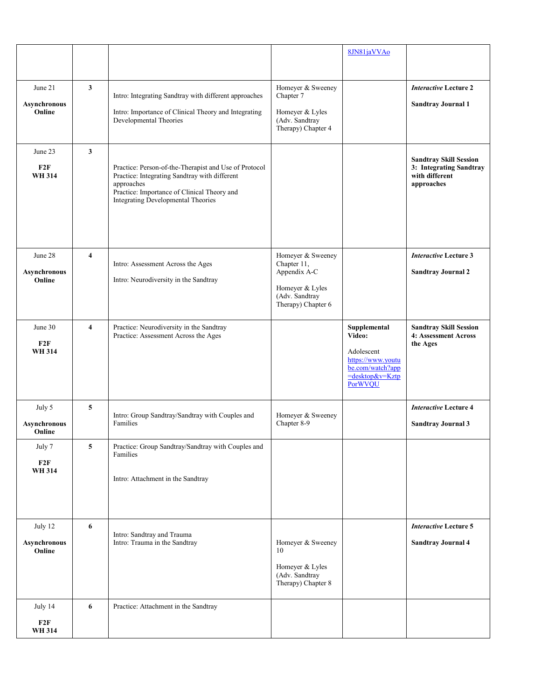|                                          |                         |                                                                                                                                                                                                           |                                                                                                             | 8JN81jaVVAo                                                                                                           |                                                                                          |
|------------------------------------------|-------------------------|-----------------------------------------------------------------------------------------------------------------------------------------------------------------------------------------------------------|-------------------------------------------------------------------------------------------------------------|-----------------------------------------------------------------------------------------------------------------------|------------------------------------------------------------------------------------------|
|                                          |                         |                                                                                                                                                                                                           |                                                                                                             |                                                                                                                       |                                                                                          |
| June 21<br><b>Asynchronous</b><br>Online | 3                       | Intro: Integrating Sandtray with different approaches<br>Intro: Importance of Clinical Theory and Integrating<br>Developmental Theories                                                                   | Homeyer & Sweeney<br>Chapter 7<br>Homeyer & Lyles<br>(Adv. Sandtray<br>Therapy) Chapter 4                   |                                                                                                                       | <b>Interactive Lecture 2</b><br><b>Sandtray Journal 1</b>                                |
| June 23<br>F2F<br><b>WH 314</b>          | 3                       | Practice: Person-of-the-Therapist and Use of Protocol<br>Practice: Integrating Sandtray with different<br>approaches<br>Practice: Importance of Clinical Theory and<br>Integrating Developmental Theories |                                                                                                             |                                                                                                                       | <b>Sandtray Skill Session</b><br>3: Integrating Sandtray<br>with different<br>approaches |
| June 28<br><b>Asynchronous</b><br>Online | $\overline{\mathbf{4}}$ | Intro: Assessment Across the Ages<br>Intro: Neurodiversity in the Sandtray                                                                                                                                | Homeyer & Sweeney<br>Chapter 11,<br>Appendix A-C<br>Homeyer & Lyles<br>(Adv. Sandtray<br>Therapy) Chapter 6 |                                                                                                                       | <b>Interactive Lecture 3</b><br><b>Sandtray Journal 2</b>                                |
| June 30<br>F2F<br><b>WH 314</b>          | $\overline{\mathbf{4}}$ | Practice: Neurodiversity in the Sandtray<br>Practice: Assessment Across the Ages                                                                                                                          |                                                                                                             | Supplemental<br>Video:<br>Adolescent<br>https://www.youtu<br>be.com/watch?app<br>$=$ desktop&v=Kztp<br><b>PorWVOU</b> | <b>Sandtray Skill Session</b><br>4: Assessment Across<br>the Ages                        |
| July 5<br><b>Asynchronous</b><br>Online  | 5                       | Intro: Group Sandtray/Sandtray with Couples and<br>Families                                                                                                                                               | Homeyer & Sweeney<br>Chapter 8-9                                                                            |                                                                                                                       | <b>Interactive Lecture 4</b><br><b>Sandtray Journal 3</b>                                |
| July 7<br>F2F<br><b>WH 314</b>           | 5                       | Practice: Group Sandtray/Sandtray with Couples and<br>Families<br>Intro: Attachment in the Sandtray                                                                                                       |                                                                                                             |                                                                                                                       |                                                                                          |
| July 12<br><b>Asynchronous</b><br>Online | 6                       | Intro: Sandtray and Trauma<br>Intro: Trauma in the Sandtray                                                                                                                                               | Homeyer & Sweeney<br>10<br>Homeyer & Lyles<br>(Adv. Sandtray<br>Therapy) Chapter 8                          |                                                                                                                       | <b>Interactive Lecture 5</b><br><b>Sandtray Journal 4</b>                                |
| July 14<br>F2F<br><b>WH 314</b>          | 6                       | Practice: Attachment in the Sandtray                                                                                                                                                                      |                                                                                                             |                                                                                                                       |                                                                                          |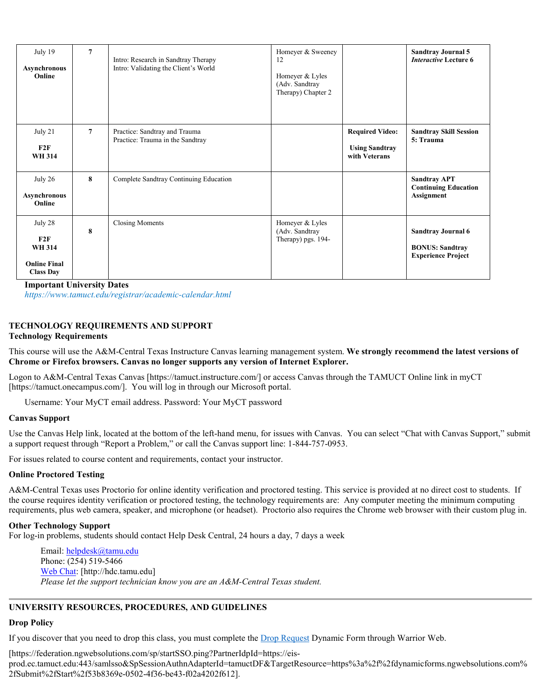| July 19<br>Asynchronous<br>Online                                          | $7\phantom{.0}$ | Intro: Research in Sandtray Therapy<br>Intro: Validating the Client's World | Homeyer & Sweeney<br>12<br>Homeyer & Lyles<br>(Adv. Sandtray<br>Therapy) Chapter 2 |                                                                  | <b>Sandtray Journal 5</b><br><b>Interactive Lecture 6</b>                        |
|----------------------------------------------------------------------------|-----------------|-----------------------------------------------------------------------------|------------------------------------------------------------------------------------|------------------------------------------------------------------|----------------------------------------------------------------------------------|
| July 21<br>F2F<br><b>WH 314</b>                                            | $\overline{7}$  | Practice: Sandtray and Trauma<br>Practice: Trauma in the Sandtray           |                                                                                    | <b>Required Video:</b><br><b>Using Sandtray</b><br>with Veterans | <b>Sandtray Skill Session</b><br>5: Trauma                                       |
| July 26<br><b>Asynchronous</b><br>Online                                   | 8               | Complete Sandtray Continuing Education                                      |                                                                                    |                                                                  | <b>Sandtray APT</b><br><b>Continuing Education</b><br><b>Assignment</b>          |
| July 28<br>F2F<br><b>WH 314</b><br><b>Online Final</b><br><b>Class Day</b> | 8               | <b>Closing Moments</b>                                                      | Homeyer & Lyles<br>(Adv. Sandtray<br>Therapy) pgs. 194-                            |                                                                  | <b>Sandtray Journal 6</b><br><b>BONUS: Sandtray</b><br><b>Experience Project</b> |

**Important University Dates**

*https://www.tamuct.edu/registrar/academic-calendar.html*

#### **TECHNOLOGY REQUIREMENTS AND SUPPORT Technology Requirements**

This course will use the A&M-Central Texas Instructure Canvas learning management system. **We strongly recommend the latest versions of Chrome or Firefox browsers. Canvas no longer supports any version of Internet Explorer.**

Logon to A&M-Central Texas Canvas [https://tamuct.instructure.com/] or access Canvas through the TAMUCT Online link in myCT [https://tamuct.onecampus.com/]. You will log in through our Microsoft portal.

Username: Your MyCT email address. Password: Your MyCT password

#### **Canvas Support**

Use the Canvas Help link, located at the bottom of the left-hand menu, for issues with Canvas. You can select "Chat with Canvas Support," submit a support request through "Report a Problem," or call the Canvas support line: 1-844-757-0953.

For issues related to course content and requirements, contact your instructor.

#### **Online Proctored Testing**

A&M-Central Texas uses Proctorio for online identity verification and proctored testing. This service is provided at no direct cost to students. If the course requires identity verification or proctored testing, the technology requirements are: Any computer meeting the minimum computing requirements, plus web camera, speaker, and microphone (or headset). Proctorio also requires the Chrome web browser with their custom plug in.

#### **Other Technology Support**

For log-in problems, students should contact Help Desk Central, 24 hours a day, 7 days a week

Email: [helpdesk@tamu.edu](mailto:helpdesk@tamu.edu) Phone: (254) 519-5466 [Web Chat:](http://hdc.tamu.edu/) [http://hdc.tamu.edu] *Please let the support technician know you are an A&M-Central Texas student.*

#### **UNIVERSITY RESOURCES, PROCEDURES, AND GUIDELINES**

#### **Drop Policy**

If you discover that you need to drop this class, you must complete the [Drop Request](https://federation.ngwebsolutions.com/sp/startSSO.ping?PartnerIdpId=https://eis-prod.ec.tamuct.edu:443/samlsso&SpSessionAuthnAdapterId=tamuctDF&TargetResource=https%3a%2f%2fdynamicforms.ngwebsolutions.com%2fSubmit%2fStart%2f53b8369e-0502-4f36-be43-f02a4202f612) Dynamic Form through Warrior Web.

#### [https://federation.ngwebsolutions.com/sp/startSSO.ping?PartnerIdpId=https://eis-

prod.ec.tamuct.edu:443/samlsso&SpSessionAuthnAdapterId=tamuctDF&TargetResource=https%3a%2f%2fdynamicforms.ngwebsolutions.com% 2fSubmit%2fStart%2f53b8369e-0502-4f36-be43-f02a4202f612].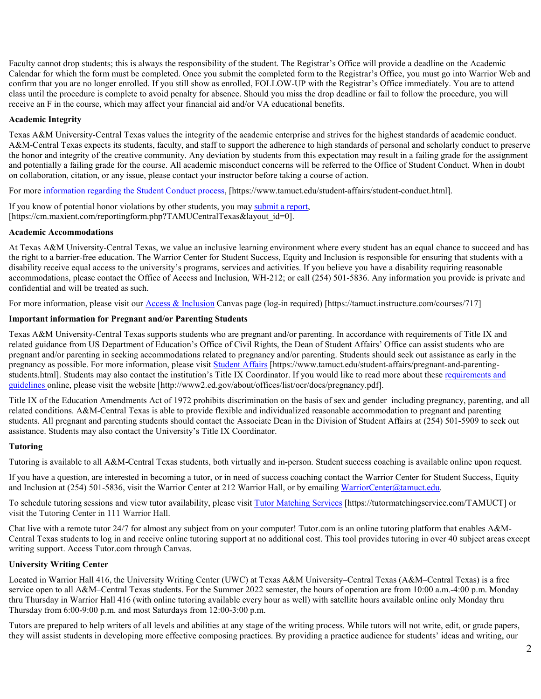Faculty cannot drop students; this is always the responsibility of the student. The Registrar's Office will provide a deadline on the Academic Calendar for which the form must be completed. Once you submit the completed form to the Registrar's Office, you must go into Warrior Web and confirm that you are no longer enrolled. If you still show as enrolled, FOLLOW-UP with the Registrar's Office immediately. You are to attend class until the procedure is complete to avoid penalty for absence. Should you miss the drop deadline or fail to follow the procedure, you will receive an F in the course, which may affect your financial aid and/or VA educational benefits.

## **Academic Integrity**

Texas A&M University-Central Texas values the integrity of the academic enterprise and strives for the highest standards of academic conduct. A&M-Central Texas expects its students, faculty, and staff to support the adherence to high standards of personal and scholarly conduct to preserve the honor and integrity of the creative community. Any deviation by students from this expectation may result in a failing grade for the assignment and potentially a failing grade for the course. All academic misconduct concerns will be referred to the Office of Student Conduct. When in doubt on collaboration, citation, or any issue, please contact your instructor before taking a course of action.

For more [information](https://nam04.safelinks.protection.outlook.com/?url=https%3A%2F%2Fwww.tamuct.edu%2Fstudent-affairs%2Fstudent-conduct.html&data=04%7C01%7Clisa.bunkowski%40tamuct.edu%7Ccfb6e486f24745f53e1a08d910055cb2%7C9eed4e3000f744849ff193ad8005acec%7C0%7C0%7C637558437485252160%7CUnknown%7CTWFpbGZsb3d8eyJWIjoiMC4wLjAwMDAiLCJQIjoiV2luMzIiLCJBTiI6Ik1haWwiLCJXVCI6Mn0%3D%7C1000&sdata=yjftDEVHvLX%2FhM%2FcFU0B99krV1RgEWR%2BJ%2BhvtoR6TYk%3D&reserved=0) regarding the Student Conduct process, [https://www.tamuct.edu/student-affairs/student-conduct.html].

If you know of potential honor violations by other students, you may [submit](https://nam04.safelinks.protection.outlook.com/?url=https%3A%2F%2Fcm.maxient.com%2Freportingform.php%3FTAMUCentralTexas%26layout_id%3D0&data=04%7C01%7Clisa.bunkowski%40tamuct.edu%7Ccfb6e486f24745f53e1a08d910055cb2%7C9eed4e3000f744849ff193ad8005acec%7C0%7C0%7C637558437485262157%7CUnknown%7CTWFpbGZsb3d8eyJWIjoiMC4wLjAwMDAiLCJQIjoiV2luMzIiLCJBTiI6Ik1haWwiLCJXVCI6Mn0%3D%7C1000&sdata=CXGkOa6uPDPX1IMZ87z3aZDq2n91xfHKu4MMS43Ejjk%3D&reserved=0) a report, [https://cm.maxient.com/reportingform.php?TAMUCentralTexas&layout\_id=0].

#### **Academic Accommodations**

At Texas A&M University-Central Texas, we value an inclusive learning environment where every student has an equal chance to succeed and has the right to a barrier-free education. The Warrior Center for Student Success, Equity and Inclusion is responsible for ensuring that students with a disability receive equal access to the university's programs, services and activities. If you believe you have a disability requiring reasonable accommodations, please contact the Office of Access and Inclusion, WH-212; or call (254) 501-5836. Any information you provide is private and confidential and will be treated as such.

For more information, please visit our *Access & Inclusion* Canvas page (log-in required) [https://tamuct.instructure.com/courses/717]

#### **Important information for Pregnant and/or Parenting Students**

Texas A&M University-Central Texas supports students who are pregnant and/or parenting. In accordance with requirements of Title IX and related guidance from US Department of Education's Office of Civil Rights, the Dean of Student Affairs' Office can assist students who are pregnant and/or parenting in seeking accommodations related to pregnancy and/or parenting. Students should seek out assistance as early in the pregnancy as possible. For more information, please visit [Student Affairs](https://www.tamuct.edu/student-affairs/pregnant-and-parenting-students.html) [https://www.tamuct.edu/student-affairs/pregnant-and-parentingstudents.html]. Students may also contact the institution's Title IX Coordinator. If you would like to read more about these [requirements and](http://www2.ed.gov/about/offices/list/ocr/docs/pregnancy.pdf)  [guidelines](http://www2.ed.gov/about/offices/list/ocr/docs/pregnancy.pdf) online, please visit the website [http://www2.ed.gov/about/offices/list/ocr/docs/pregnancy.pdf].

Title IX of the Education Amendments Act of 1972 prohibits discrimination on the basis of sex and gender–including pregnancy, parenting, and all related conditions. A&M-Central Texas is able to provide flexible and individualized reasonable accommodation to pregnant and parenting students. All pregnant and parenting students should contact the Associate Dean in the Division of Student Affairs at (254) 501-5909 to seek out assistance. Students may also contact the University's Title IX Coordinator.

#### **Tutoring**

Tutoring is available to all A&M-Central Texas students, both virtually and in-person. Student success coaching is available online upon request.

If you have a question, are interested in becoming a tutor, or in need of success coaching contact the Warrior Center for Student Success, Equity and Inclusion at (254) 501-5836, visit the Warrior Center at 212 Warrior Hall, or by emailing [WarriorCenter@tamuct.edu.](mailto:WarriorCenter@tamuct.edu)

To schedule tutoring sessions and view tutor availability, please visit Tutor [Matching](https://nam04.safelinks.protection.outlook.com/?url=http%3A%2F%2Fwww.tutormatchingservices.com%2FTAMUCT&data=04%7C01%7Clisa.bunkowski%40tamuct.edu%7C886784139069461670c308d9aa01f55e%7C9eed4e3000f744849ff193ad8005acec%7C0%7C0%7C637727747643427346%7CUnknown%7CTWFpbGZsb3d8eyJWIjoiMC4wLjAwMDAiLCJQIjoiV2luMzIiLCJBTiI6Ik1haWwiLCJXVCI6Mn0%3D%7C3000&sdata=D%2F8HN2bUT1lLPfs5qSqKYlwh8a7pZVy7isM2gppluQE%3D&reserved=0) Services [https://tutormatchingservice.com/TAMUCT] or visit the Tutoring Center in 111 Warrior Hall.

Chat live with a remote tutor 24/7 for almost any subject from on your computer! Tutor.com is an online tutoring platform that enables A&M-Central Texas students to log in and receive online tutoring support at no additional cost. This tool provides tutoring in over 40 subject areas except writing support. Access Tutor.com through Canvas.

#### **University Writing Center**

Located in Warrior Hall 416, the University Writing Center (UWC) at Texas A&M University–Central Texas (A&M–Central Texas) is a free service open to all A&M–Central Texas students. For the Summer 2022 semester, the hours of operation are from 10:00 a.m.-4:00 p.m. Monday thru Thursday in Warrior Hall 416 (with online tutoring available every hour as well) with satellite hours available online only Monday thru Thursday from 6:00-9:00 p.m. and most Saturdays from 12:00-3:00 p.m.

Tutors are prepared to help writers of all levels and abilities at any stage of the writing process. While tutors will not write, edit, or grade papers, they will assist students in developing more effective composing practices. By providing a practice audience for students' ideas and writing, our